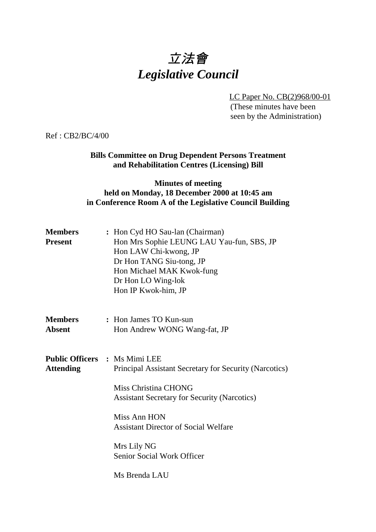# 立法會 *Legislative Council*

LC Paper No. CB(2)968/00-01

(These minutes have been seen by the Administration)

Ref : CB2/BC/4/00

# **Bills Committee on Drug Dependent Persons Treatment and Rehabilitation Centres (Licensing) Bill**

# **Minutes of meeting held on Monday, 18 December 2000 at 10:45 am in Conference Room A of the Legislative Council Building**

| <b>Members</b><br><b>Present</b> | : Hon Cyd HO Sau-lan (Chairman)<br>Hon Mrs Sophie LEUNG LAU Yau-fun, SBS, JP<br>Hon LAW Chi-kwong, JP<br>Dr Hon TANG Siu-tong, JP<br>Hon Michael MAK Kwok-fung<br>Dr Hon LO Wing-lok<br>Hon IP Kwok-him, JP                                                                                                                     |
|----------------------------------|---------------------------------------------------------------------------------------------------------------------------------------------------------------------------------------------------------------------------------------------------------------------------------------------------------------------------------|
| <b>Members</b><br><b>Absent</b>  | : Hon James TO Kun-sun<br>Hon Andrew WONG Wang-fat, JP                                                                                                                                                                                                                                                                          |
| <b>Attending</b>                 | <b>Public Officers : Ms Mimi LEE</b><br>Principal Assistant Secretary for Security (Narcotics)<br><b>Miss Christina CHONG</b><br><b>Assistant Secretary for Security (Narcotics)</b><br><b>Miss Ann HON</b><br><b>Assistant Director of Social Welfare</b><br>Mrs Lily NG<br><b>Senior Social Work Officer</b><br>Ms Brenda LAU |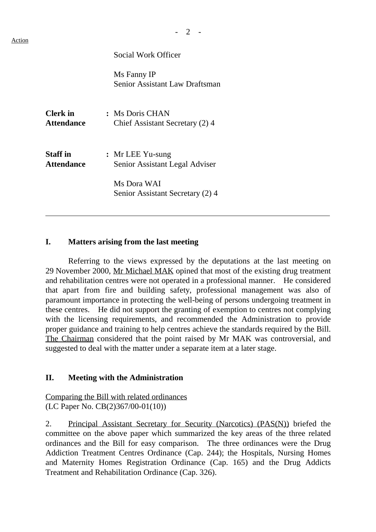Social Work Officer

Ms Fanny IP Senior Assistant Law Draftsman

| <b>Clerk</b> in<br><b>Attendance</b> | : Ms Doris CHAN<br>Chief Assistant Secretary (2) 4 |
|--------------------------------------|----------------------------------------------------|
| <b>Staff</b> in<br><b>Attendance</b> | : Mr LEE Yu-sung<br>Senior Assistant Legal Adviser |
|                                      | Ms Dora WAI<br>Senior Assistant Secretary (2) 4    |

#### **I. Matters arising from the last meeting**

Referring to the views expressed by the deputations at the last meeting on 29 November 2000, Mr Michael MAK opined that most of the existing drug treatment and rehabilitation centres were not operated in a professional manner. He considered that apart from fire and building safety, professional management was also of paramount importance in protecting the well-being of persons undergoing treatment in these centres. He did not support the granting of exemption to centres not complying with the licensing requirements, and recommended the Administration to provide proper guidance and training to help centres achieve the standards required by the Bill. The Chairman considered that the point raised by Mr MAK was controversial, and suggested to deal with the matter under a separate item at a later stage.

#### **II. Meeting with the Administration**

Comparing the Bill with related ordinances (LC Paper No. CB(2)367/00-01(10))

2. Principal Assistant Secretary for Security (Narcotics) (PAS(N)) briefed the committee on the above paper which summarized the key areas of the three related ordinances and the Bill for easy comparison. The three ordinances were the Drug Addiction Treatment Centres Ordinance (Cap. 244); the Hospitals, Nursing Homes and Maternity Homes Registration Ordinance (Cap. 165) and the Drug Addicts Treatment and Rehabilitation Ordinance (Cap. 326).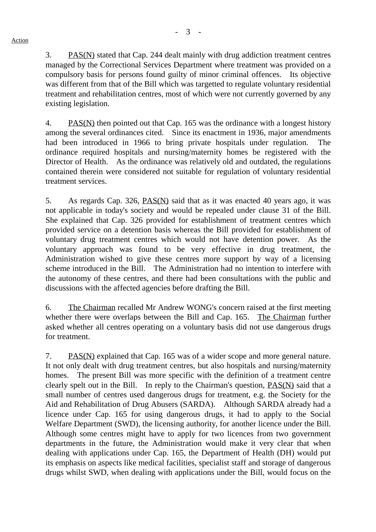3. PAS(N) stated that Cap. 244 dealt mainly with drug addiction treatment centres managed by the Correctional Services Department where treatment was provided on a compulsory basis for persons found guilty of minor criminal offences. Its objective was different from that of the Bill which was targetted to regulate voluntary residential treatment and rehabilitation centres, most of which were not currently governed by any existing legislation.

4. PAS(N) then pointed out that Cap. 165 was the ordinance with a longest history among the several ordinances cited. Since its enactment in 1936, major amendments had been introduced in 1966 to bring private hospitals under regulation. The ordinance required hospitals and nursing/maternity homes be registered with the Director of Health. As the ordinance was relatively old and outdated, the regulations contained therein were considered not suitable for regulation of voluntary residential treatment services.

5. As regards Cap. 326, PAS(N) said that as it was enacted 40 years ago, it was not applicable in today's society and would be repealed under clause 31 of the Bill. She explained that Cap. 326 provided for establishment of treatment centres which provided service on a detention basis whereas the Bill provided for establishment of voluntary drug treatment centres which would not have detention power. As the voluntary approach was found to be very effective in drug treatment, the Administration wished to give these centres more support by way of a licensing scheme introduced in the Bill. The Administration had no intention to interfere with the autonomy of these centres, and there had been consultations with the public and discussions with the affected agencies before drafting the Bill.

6. The Chairman recalled Mr Andrew WONG's concern raised at the first meeting whether there were overlaps between the Bill and Cap. 165. The Chairman further asked whether all centres operating on a voluntary basis did not use dangerous drugs for treatment.

7. PAS(N) explained that Cap. 165 was of a wider scope and more general nature. It not only dealt with drug treatment centres, but also hospitals and nursing/maternity homes. The present Bill was more specific with the definition of a treatment centre clearly spelt out in the Bill. In reply to the Chairman's question, PAS(N) said that a small number of centres used dangerous drugs for treatment, e.g. the Society for the Aid and Rehabilitation of Drug Abusers (SARDA). Although SARDA already had a licence under Cap. 165 for using dangerous drugs, it had to apply to the Social Welfare Department (SWD), the licensing authority, for another licence under the Bill. Although some centres might have to apply for two licences from two government departments in the future, the Administration would make it very clear that when dealing with applications under Cap. 165, the Department of Health (DH) would put its emphasis on aspects like medical facilities, specialist staff and storage of dangerous drugs whilst SWD, when dealing with applications under the Bill, would focus on the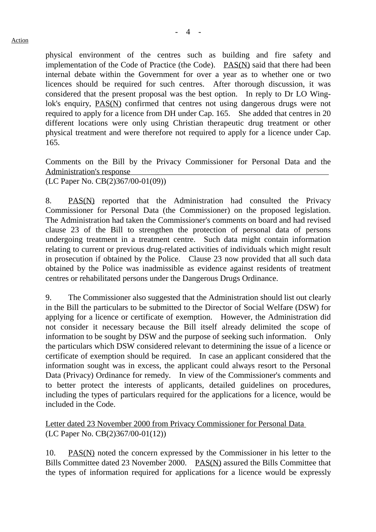physical environment of the centres such as building and fire safety and implementation of the Code of Practice (the Code). PAS(N) said that there had been internal debate within the Government for over a year as to whether one or two licences should be required for such centres. After thorough discussion, it was considered that the present proposal was the best option. In reply to Dr LO Winglok's enquiry, PAS(N) confirmed that centres not using dangerous drugs were not required to apply for a licence from DH under Cap. 165. She added that centres in 20 different locations were only using Christian therapeutic drug treatment or other physical treatment and were therefore not required to apply for a licence under Cap. 165.

Comments on the Bill by the Privacy Commissioner for Personal Data and the Administration's response

(LC Paper No. CB(2)367/00-01(09))

8. PAS(N) reported that the Administration had consulted the Privacy Commissioner for Personal Data (the Commissioner) on the proposed legislation. The Administration had taken the Commissioner's comments on board and had revised clause 23 of the Bill to strengthen the protection of personal data of persons undergoing treatment in a treatment centre. Such data might contain information relating to current or previous drug-related activities of individuals which might result in prosecution if obtained by the Police. Clause 23 now provided that all such data obtained by the Police was inadmissible as evidence against residents of treatment centres or rehabilitated persons under the Dangerous Drugs Ordinance.

9. The Commissioner also suggested that the Administration should list out clearly in the Bill the particulars to be submitted to the Director of Social Welfare (DSW) for applying for a licence or certificate of exemption. However, the Administration did not consider it necessary because the Bill itself already delimited the scope of information to be sought by DSW and the purpose of seeking such information. Only the particulars which DSW considered relevant to determining the issue of a licence or certificate of exemption should be required. In case an applicant considered that the information sought was in excess, the applicant could always resort to the Personal Data (Privacy) Ordinance for remedy. In view of the Commissioner's comments and to better protect the interests of applicants, detailed guidelines on procedures, including the types of particulars required for the applications for a licence, would be included in the Code.

Letter dated 23 November 2000 from Privacy Commissioner for Personal Data (LC Paper No. CB(2)367/00-01(12))

10. PAS(N) noted the concern expressed by the Commissioner in his letter to the Bills Committee dated 23 November 2000. PAS(N) assured the Bills Committee that the types of information required for applications for a licence would be expressly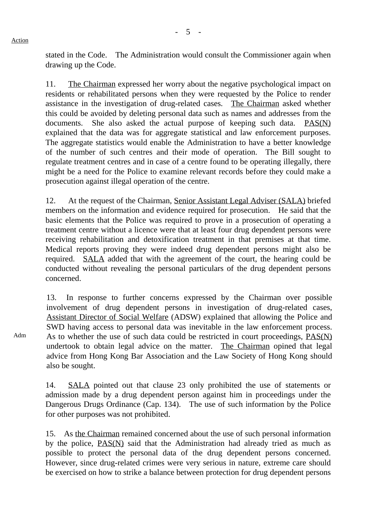stated in the Code. The Administration would consult the Commissioner again when drawing up the Code.

11. The Chairman expressed her worry about the negative psychological impact on residents or rehabilitated persons when they were requested by the Police to render assistance in the investigation of drug-related cases. The Chairman asked whether this could be avoided by deleting personal data such as names and addresses from the documents. She also asked the actual purpose of keeping such data. PAS(N) explained that the data was for aggregate statistical and law enforcement purposes. The aggregate statistics would enable the Administration to have a better knowledge of the number of such centres and their mode of operation. The Bill sought to regulate treatment centres and in case of a centre found to be operating illegally, there might be a need for the Police to examine relevant records before they could make a prosecution against illegal operation of the centre.

12. At the request of the Chairman, Senior Assistant Legal Adviser (SALA) briefed members on the information and evidence required for prosecution. He said that the basic elements that the Police was required to prove in a prosecution of operating a treatment centre without a licence were that at least four drug dependent persons were receiving rehabilitation and detoxification treatment in that premises at that time. Medical reports proving they were indeed drug dependent persons might also be required. SALA added that with the agreement of the court, the hearing could be conducted without revealing the personal particulars of the drug dependent persons concerned.

13. In response to further concerns expressed by the Chairman over possible involvement of drug dependent persons in investigation of drug-related cases, Assistant Director of Social Welfare (ADSW) explained that allowing the Police and SWD having access to personal data was inevitable in the law enforcement process. As to whether the use of such data could be restricted in court proceedings, PAS(N) undertook to obtain legal advice on the matter. The Chairman opined that legal advice from Hong Kong Bar Association and the Law Society of Hong Kong should also be sought.

14. SALA pointed out that clause 23 only prohibited the use of statements or admission made by a drug dependent person against him in proceedings under the Dangerous Drugs Ordinance (Cap. 134). The use of such information by the Police for other purposes was not prohibited.

15. As the Chairman remained concerned about the use of such personal information by the police, PAS(N) said that the Administration had already tried as much as possible to protect the personal data of the drug dependent persons concerned. However, since drug-related crimes were very serious in nature, extreme care should be exercised on how to strike a balance between protection for drug dependent persons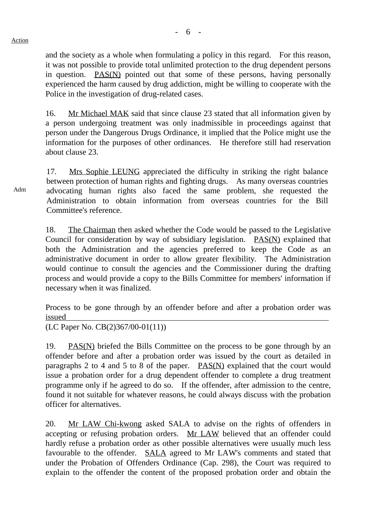Action

Adm

and the society as a whole when formulating a policy in this regard. For this reason, it was not possible to provide total unlimited protection to the drug dependent persons in question. PAS(N) pointed out that some of these persons, having personally experienced the harm caused by drug addiction, might be willing to cooperate with the Police in the investigation of drug-related cases.

16. Mr Michael MAK said that since clause 23 stated that all information given by a person undergoing treatment was only inadmissible in proceedings against that person under the Dangerous Drugs Ordinance, it implied that the Police might use the information for the purposes of other ordinances. He therefore still had reservation about clause 23.

17. Mrs Sophie LEUNG appreciated the difficulty in striking the right balance between protection of human rights and fighting drugs. As many overseas countries advocating human rights also faced the same problem, she requested the Administration to obtain information from overseas countries for the Bill Committee's reference.

18. The Chairman then asked whether the Code would be passed to the Legislative Council for consideration by way of subsidiary legislation. PAS(N) explained that both the Administration and the agencies preferred to keep the Code as an administrative document in order to allow greater flexibility. The Administration would continue to consult the agencies and the Commissioner during the drafting process and would provide a copy to the Bills Committee for members' information if necessary when it was finalized.

Process to be gone through by an offender before and after a probation order was issued

(LC Paper No. CB(2)367/00-01(11))

19. PAS(N) briefed the Bills Committee on the process to be gone through by an offender before and after a probation order was issued by the court as detailed in paragraphs 2 to 4 and 5 to 8 of the paper. PAS(N) explained that the court would issue a probation order for a drug dependent offender to complete a drug treatment programme only if he agreed to do so. If the offender, after admission to the centre, found it not suitable for whatever reasons, he could always discuss with the probation officer for alternatives.

20. Mr LAW Chi-kwong asked SALA to advise on the rights of offenders in accepting or refusing probation orders. Mr LAW believed that an offender could hardly refuse a probation order as other possible alternatives were usually much less favourable to the offender. SALA agreed to Mr LAW's comments and stated that under the Probation of Offenders Ordinance (Cap. 298), the Court was required to explain to the offender the content of the proposed probation order and obtain the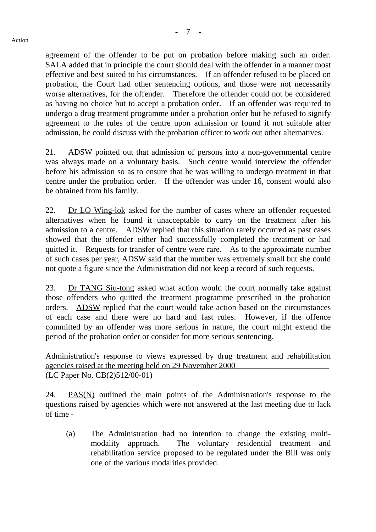agreement of the offender to be put on probation before making such an order. SALA added that in principle the court should deal with the offender in a manner most effective and best suited to his circumstances. If an offender refused to be placed on probation, the Court had other sentencing options, and those were not necessarily worse alternatives, for the offender. Therefore the offender could not be considered as having no choice but to accept a probation order. If an offender was required to undergo a drug treatment programme under a probation order but he refused to signify agreement to the rules of the centre upon admission or found it not suitable after admission, he could discuss with the probation officer to work out other alternatives.

21. ADSW pointed out that admission of persons into a non-governmental centre was always made on a voluntary basis. Such centre would interview the offender before his admission so as to ensure that he was willing to undergo treatment in that centre under the probation order. If the offender was under 16, consent would also be obtained from his family.

22. Dr LO Wing-lok asked for the number of cases where an offender requested alternatives when he found it unacceptable to carry on the treatment after his admission to a centre. ADSW replied that this situation rarely occurred as past cases showed that the offender either had successfully completed the treatment or had quitted it. Requests for transfer of centre were rare. As to the approximate number of such cases per year, ADSW said that the number was extremely small but she could not quote a figure since the Administration did not keep a record of such requests.

23. Dr TANG Siu-tong asked what action would the court normally take against those offenders who quitted the treatment programme prescribed in the probation orders. ADSW replied that the court would take action based on the circumstances of each case and there were no hard and fast rules. However, if the offence committed by an offender was more serious in nature, the court might extend the period of the probation order or consider for more serious sentencing.

Administration's response to views expressed by drug treatment and rehabilitation agencies raised at the meeting held on 29 November 2000 (LC Paper No. CB(2)512/00-01)

24. PAS(N) outlined the main points of the Administration's response to the questions raised by agencies which were not answered at the last meeting due to lack of time -

(a) The Administration had no intention to change the existing multimodality approach. The voluntary residential treatment and rehabilitation service proposed to be regulated under the Bill was only one of the various modalities provided.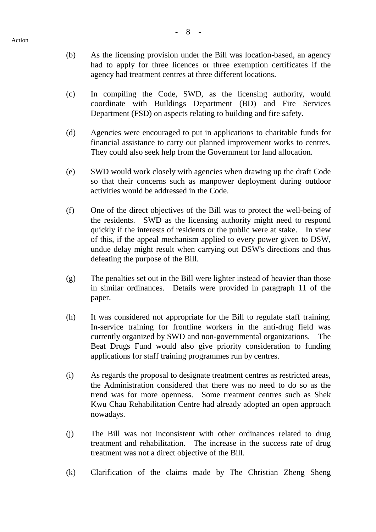- (b) As the licensing provision under the Bill was location-based, an agency had to apply for three licences or three exemption certificates if the agency had treatment centres at three different locations.
- (c) In compiling the Code, SWD, as the licensing authority, would coordinate with Buildings Department (BD) and Fire Services Department (FSD) on aspects relating to building and fire safety.
- (d) Agencies were encouraged to put in applications to charitable funds for financial assistance to carry out planned improvement works to centres. They could also seek help from the Government for land allocation.
- (e) SWD would work closely with agencies when drawing up the draft Code so that their concerns such as manpower deployment during outdoor activities would be addressed in the Code.
- (f) One of the direct objectives of the Bill was to protect the well-being of the residents. SWD as the licensing authority might need to respond quickly if the interests of residents or the public were at stake. In view of this, if the appeal mechanism applied to every power given to DSW, undue delay might result when carrying out DSW's directions and thus defeating the purpose of the Bill.
- (g) The penalties set out in the Bill were lighter instead of heavier than those in similar ordinances. Details were provided in paragraph 11 of the paper.
- (h) It was considered not appropriate for the Bill to regulate staff training. In-service training for frontline workers in the anti-drug field was currently organized by SWD and non-governmental organizations. The Beat Drugs Fund would also give priority consideration to funding applications for staff training programmes run by centres.
- (i) As regards the proposal to designate treatment centres as restricted areas, the Administration considered that there was no need to do so as the trend was for more openness. Some treatment centres such as Shek Kwu Chau Rehabilitation Centre had already adopted an open approach nowadays.
- (j) The Bill was not inconsistent with other ordinances related to drug treatment and rehabilitation. The increase in the success rate of drug treatment was not a direct objective of the Bill.
- (k) Clarification of the claims made by The Christian Zheng Sheng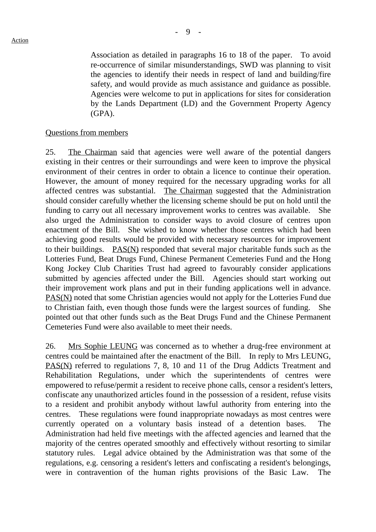Association as detailed in paragraphs 16 to 18 of the paper. To avoid re-occurrence of similar misunderstandings, SWD was planning to visit the agencies to identify their needs in respect of land and building/fire safety, and would provide as much assistance and guidance as possible. Agencies were welcome to put in applications for sites for consideration by the Lands Department (LD) and the Government Property Agency (GPA).

#### Questions from members

25. The Chairman said that agencies were well aware of the potential dangers existing in their centres or their surroundings and were keen to improve the physical environment of their centres in order to obtain a licence to continue their operation. However, the amount of money required for the necessary upgrading works for all affected centres was substantial. The Chairman suggested that the Administration should consider carefully whether the licensing scheme should be put on hold until the funding to carry out all necessary improvement works to centres was available. She also urged the Administration to consider ways to avoid closure of centres upon enactment of the Bill. She wished to know whether those centres which had been achieving good results would be provided with necessary resources for improvement to their buildings. PAS(N) responded that several major charitable funds such as the Lotteries Fund, Beat Drugs Fund, Chinese Permanent Cemeteries Fund and the Hong Kong Jockey Club Charities Trust had agreed to favourably consider applications submitted by agencies affected under the Bill. Agencies should start working out their improvement work plans and put in their funding applications well in advance. PAS(N) noted that some Christian agencies would not apply for the Lotteries Fund due to Christian faith, even though those funds were the largest sources of funding. She pointed out that other funds such as the Beat Drugs Fund and the Chinese Permanent Cemeteries Fund were also available to meet their needs.

26. Mrs Sophie LEUNG was concerned as to whether a drug-free environment at centres could be maintained after the enactment of the Bill. In reply to Mrs LEUNG, PAS(N) referred to regulations 7, 8, 10 and 11 of the Drug Addicts Treatment and Rehabilitation Regulations, under which the superintendents of centres were empowered to refuse/permit a resident to receive phone calls, censor a resident's letters, confiscate any unauthorized articles found in the possession of a resident, refuse visits to a resident and prohibit anybody without lawful authority from entering into the centres. These regulations were found inappropriate nowadays as most centres were currently operated on a voluntary basis instead of a detention bases. The Administration had held five meetings with the affected agencies and learned that the majority of the centres operated smoothly and effectively without resorting to similar statutory rules. Legal advice obtained by the Administration was that some of the regulations, e.g. censoring a resident's letters and confiscating a resident's belongings, were in contravention of the human rights provisions of the Basic Law. The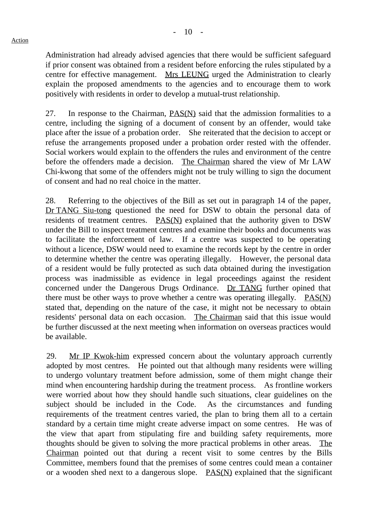Administration had already advised agencies that there would be sufficient safeguard if prior consent was obtained from a resident before enforcing the rules stipulated by a centre for effective management. Mrs LEUNG urged the Administration to clearly explain the proposed amendments to the agencies and to encourage them to work positively with residents in order to develop a mutual-trust relationship.

27. In response to the Chairman,  $PAS(N)$  said that the admission formalities to a centre, including the signing of a document of consent by an offender, would take place after the issue of a probation order. She reiterated that the decision to accept or refuse the arrangements proposed under a probation order rested with the offender. Social workers would explain to the offenders the rules and environment of the centre before the offenders made a decision. The Chairman shared the view of Mr LAW Chi-kwong that some of the offenders might not be truly willing to sign the document of consent and had no real choice in the matter.

28. Referring to the objectives of the Bill as set out in paragraph 14 of the paper, Dr TANG Siu-tong questioned the need for DSW to obtain the personal data of residents of treatment centres. PAS(N) explained that the authority given to DSW under the Bill to inspect treatment centres and examine their books and documents was to facilitate the enforcement of law. If a centre was suspected to be operating without a licence, DSW would need to examine the records kept by the centre in order to determine whether the centre was operating illegally. However, the personal data of a resident would be fully protected as such data obtained during the investigation process was inadmissible as evidence in legal proceedings against the resident concerned under the Dangerous Drugs Ordinance. Dr TANG further opined that there must be other ways to prove whether a centre was operating illegally. **PAS(N)** stated that, depending on the nature of the case, it might not be necessary to obtain residents' personal data on each occasion. The Chairman said that this issue would be further discussed at the next meeting when information on overseas practices would be available.

29. Mr IP Kwok-him expressed concern about the voluntary approach currently adopted by most centres. He pointed out that although many residents were willing to undergo voluntary treatment before admission, some of them might change their mind when encountering hardship during the treatment process. As frontline workers were worried about how they should handle such situations, clear guidelines on the subject should be included in the Code. As the circumstances and funding requirements of the treatment centres varied, the plan to bring them all to a certain standard by a certain time might create adverse impact on some centres. He was of the view that apart from stipulating fire and building safety requirements, more thoughts should be given to solving the more practical problems in other areas. The Chairman pointed out that during a recent visit to some centres by the Bills Committee, members found that the premises of some centres could mean a container or a wooden shed next to a dangerous slope. PAS(N) explained that the significant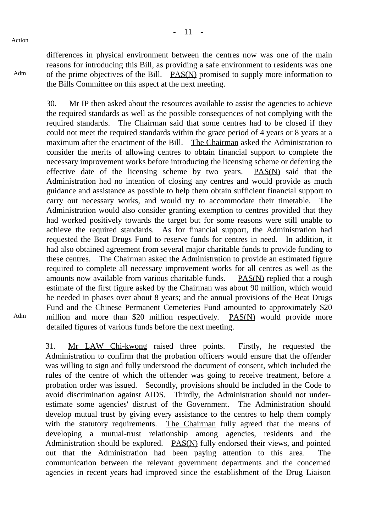Adm

Adm

differences in physical environment between the centres now was one of the main reasons for introducing this Bill, as providing a safe environment to residents was one of the prime objectives of the Bill. PAS(N) promised to supply more information to the Bills Committee on this aspect at the next meeting.

30. Mr IP then asked about the resources available to assist the agencies to achieve the required standards as well as the possible consequences of not complying with the required standards. The Chairman said that some centres had to be closed if they could not meet the required standards within the grace period of 4 years or 8 years at a maximum after the enactment of the Bill. The Chairman asked the Administration to consider the merits of allowing centres to obtain financial support to complete the necessary improvement works before introducing the licensing scheme or deferring the effective date of the licensing scheme by two years. PAS(N) said that the Administration had no intention of closing any centres and would provide as much guidance and assistance as possible to help them obtain sufficient financial support to carry out necessary works, and would try to accommodate their timetable. The Administration would also consider granting exemption to centres provided that they had worked positively towards the target but for some reasons were still unable to achieve the required standards. As for financial support, the Administration had requested the Beat Drugs Fund to reserve funds for centres in need. In addition, it had also obtained agreement from several major charitable funds to provide funding to these centres. The Chairman asked the Administration to provide an estimated figure required to complete all necessary improvement works for all centres as well as the amounts now available from various charitable funds. PAS(N) replied that a rough estimate of the first figure asked by the Chairman was about 90 million, which would be needed in phases over about 8 years; and the annual provisions of the Beat Drugs Fund and the Chinese Permanent Cemeteries Fund amounted to approximately \$20 million and more than \$20 million respectively. PAS(N) would provide more detailed figures of various funds before the next meeting.

31. Mr LAW Chi-kwong raised three points. Firstly, he requested the Administration to confirm that the probation officers would ensure that the offender was willing to sign and fully understood the document of consent, which included the rules of the centre of which the offender was going to receive treatment, before a probation order was issued. Secondly, provisions should be included in the Code to avoid discrimination against AIDS. Thirdly, the Administration should not underestimate some agencies' distrust of the Government. The Administration should develop mutual trust by giving every assistance to the centres to help them comply with the statutory requirements. The Chairman fully agreed that the means of developing a mutual-trust relationship among agencies, residents and the Administration should be explored. PAS(N) fully endorsed their views, and pointed out that the Administration had been paying attention to this area. The communication between the relevant government departments and the concerned agencies in recent years had improved since the establishment of the Drug Liaison